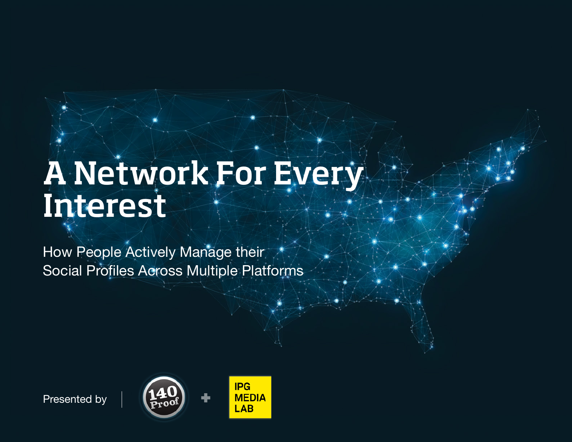# A Network For Every Interest

How People Actively Manage their Social Profiles Across Multiple Platforms





Presented by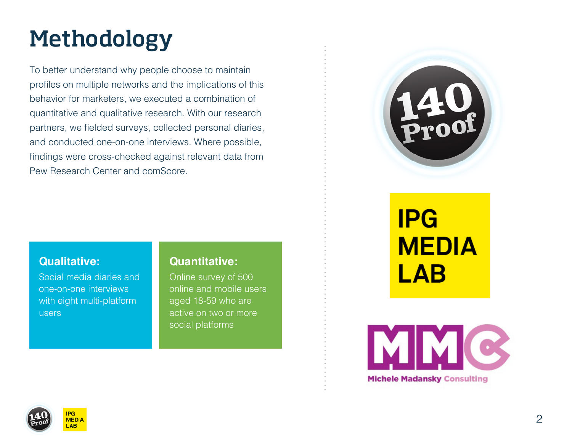# Methodology

To better understand why people choose to maintain profiles on multiple networks and the implications of this behavior for marketers, we executed a combination of quantitative and qualitative research. With our research partners, we fielded surveys, collected personal diaries, and conducted one-on-one interviews. Where possible, findings were cross-checked against relevant data from Pew Research Center and comScore.



#### **Qualitative:**

Social media diaries and one-on-one interviews with eight multi-platform users

#### **Quantitative:**

Online survey of 500 online and mobile users aged 18-59 who are active on two or more social platforms

# **IPG MEDIA LAB**





**MEDI**  $\overline{\mathbf{A}}$ R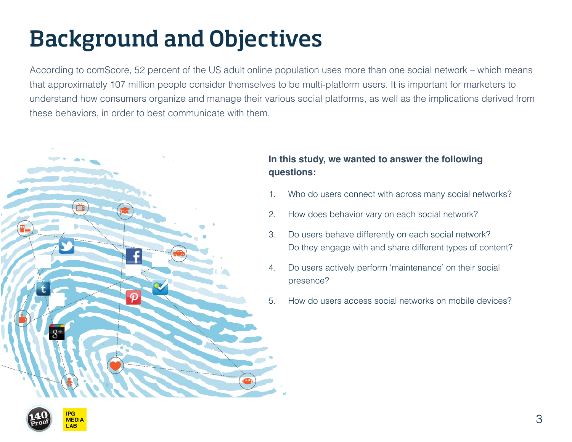# Background and Objectives

According to comScore, 52 percent of the US adult online population uses more than one social network – which means that approximately 107 million people consider themselves to be multi-platform users. It is important for marketers to understand how consumers organize and manage their various social platforms, as well as the implications derived from these behaviors, in order to best communicate with them.



#### **In this study, we wanted to answer the following questions:**

- 1. Who do users connect with across many social networks?
- 2. How does behavior vary on each social network?
- 3. Do users behave differently on each social network? Do they engage with and share different types of content?
- 4. Do users actively perform 'maintenance' on their social presence?
- 5. How do users access social networks on mobile devices?



3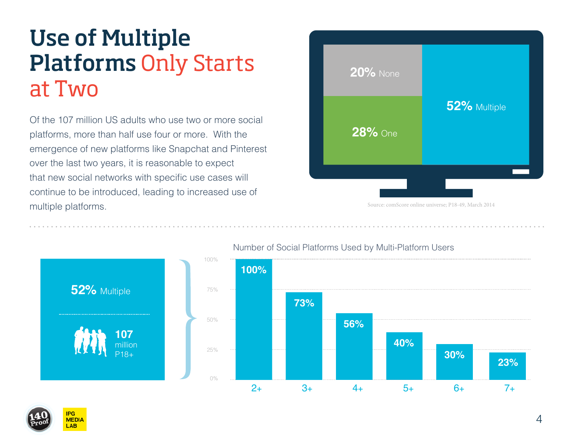### Use of Multiple Platforms Only Starts at Two

Of the 107 million US adults who use two or more social platforms, more than half use four or more. With the emergence of new platforms like Snapchat and Pinterest over the last two years, it is reasonable to expect that new social networks with specific use cases will continue to be introduced, leading to increased use of multiple platforms.

| <b>20% None</b> |              |
|-----------------|--------------|
| <b>28%</b> One  | 52% Multiple |
|                 |              |

Source: comScore online universe; P18-49, March 2014



#### Number of Social Platforms Used by Multi-Platform Users

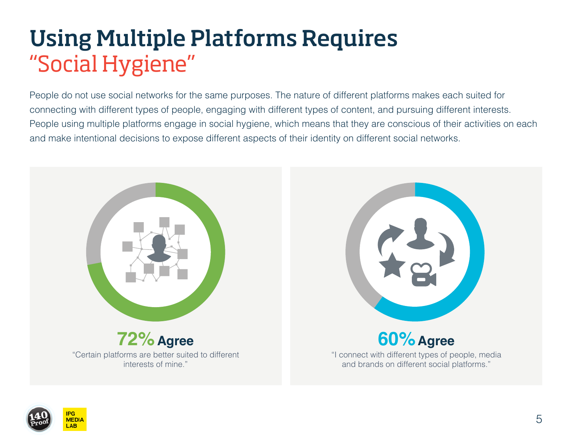### Using Multiple Platforms Requires "Social Hygiene"

People do not use social networks for the same purposes. The nature of different platforms makes each suited for connecting with different types of people, engaging with different types of content, and pursuing different interests. People using multiple platforms engage in social hygiene, which means that they are conscious of their activities on each and make intentional decisions to expose different aspects of their identity on different social networks.



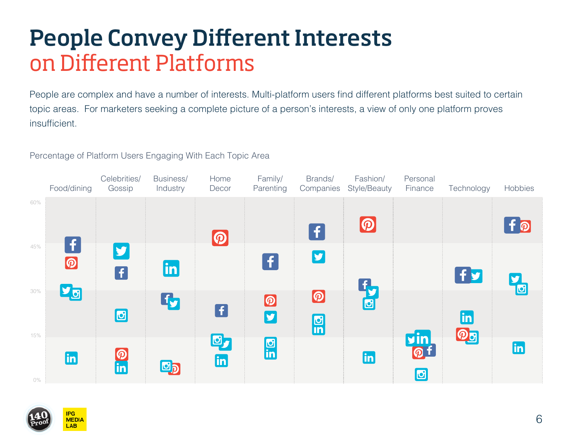### People Convey Different Interests on Different Platforms

People are complex and have a number of interests. Multi-platform users find different platforms best suited to certain topic areas. For marketers seeking a complete picture of a person's interests, a view of only one platform proves insufficient.

Percentage of Platform Users Engaging With Each Topic Area



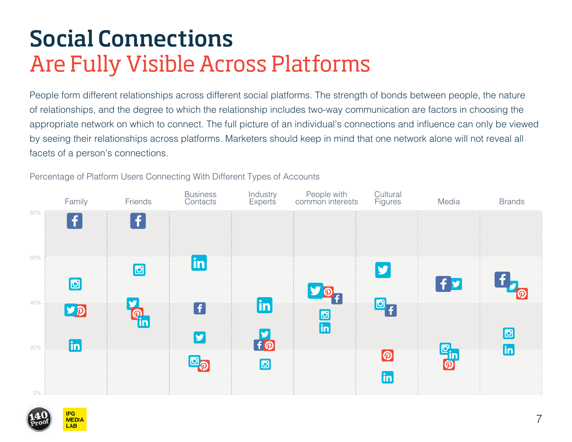### Social Connections Are Fully Visible Across Platforms

People form different relationships across different social platforms. The strength of bonds between people, the nature of relationships, and the degree to which the relationship includes two-way communication are factors in choosing the appropriate network on which to connect. The full picture of an individual's connections and influence can only be viewed by seeing their relationships across platforms. Marketers should keep in mind that one network alone will not reveal all facets of a person's connections.

**Business** Industry People with Cultural Family Friends Figures Media Brands **Contacts Experts** common interests 80%  $\ddot{\mathbf{f}}$  $\ddot{\mathbf{f}}$ 60%  $|{\sf in}|$ y  $f<sub>y</sub>$ IЫ  $\mathbf{C}_{\mathbf{f}}$ **in** 40% A  $|p|$  $\frac{1}{2}$ 回  $\frac{5}{10}$ **lin in** 20%  $\boldsymbol{\varpi}$  $\mathbf{C}_{\mathbf{D}}$ கு  $|{\sf in}|$ 0%

Percentage of Platform Users Connecting With Different Types of Accounts

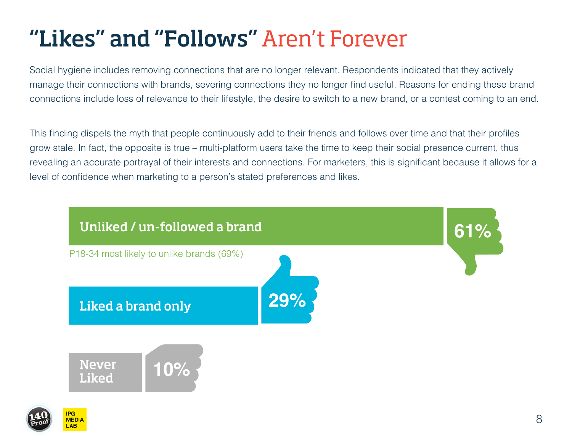## "Likes" and "Follows" Aren't Forever

Social hygiene includes removing connections that are no longer relevant. Respondents indicated that they actively manage their connections with brands, severing connections they no longer find useful. Reasons for ending these brand connections include loss of relevance to their lifestyle, the desire to switch to a new brand, or a contest coming to an end.

This finding dispels the myth that people continuously add to their friends and follows over time and that their profiles grow stale. In fact, the opposite is true – multi-platform users take the time to keep their social presence current, thus revealing an accurate portrayal of their interests and connections. For marketers, this is significant because it allows for a level of confidence when marketing to a person's stated preferences and likes.

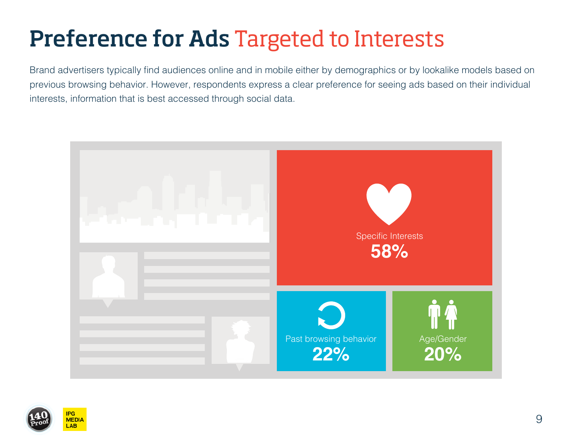## Preference for Ads Targeted to Interests

Brand advertisers typically find audiences online and in mobile either by demographics or by lookalike models based on previous browsing behavior. However, respondents express a clear preference for seeing ads based on their individual interests, information that is best accessed through social data.





**AB**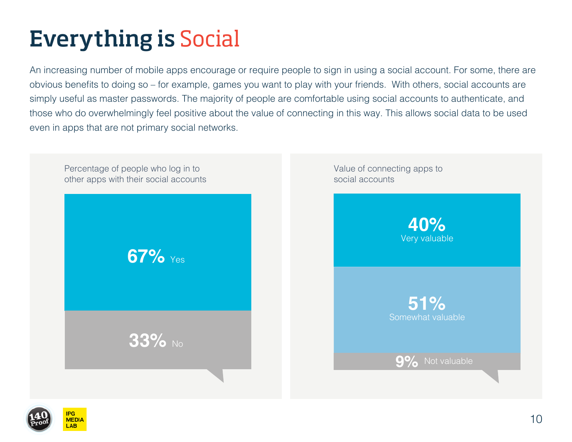# Everything is Social

An increasing number of mobile apps encourage or require people to sign in using a social account. For some, there are obvious benefits to doing so – for example, games you want to play with your friends. With others, social accounts are simply useful as master passwords. The majority of people are comfortable using social accounts to authenticate, and those who do overwhelmingly feel positive about the value of connecting in this way. This allows social data to be used even in apps that are not primary social networks.



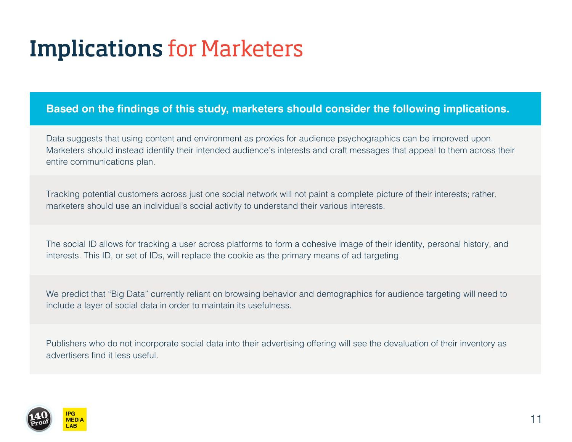### Implications for Marketers

#### **Based on the findings of this study, marketers should consider the following implications.**

Data suggests that using content and environment as proxies for audience psychographics can be improved upon. Marketers should instead identify their intended audience's interests and craft messages that appeal to them across their entire communications plan.

Tracking potential customers across just one social network will not paint a complete picture of their interests; rather, marketers should use an individual's social activity to understand their various interests.

The social ID allows for tracking a user across platforms to form a cohesive image of their identity, personal history, and interests. This ID, or set of IDs, will replace the cookie as the primary means of ad targeting.

We predict that "Big Data" currently reliant on browsing behavior and demographics for audience targeting will need to include a layer of social data in order to maintain its usefulness.

Publishers who do not incorporate social data into their advertising offering will see the devaluation of their inventory as advertisers find it less useful.